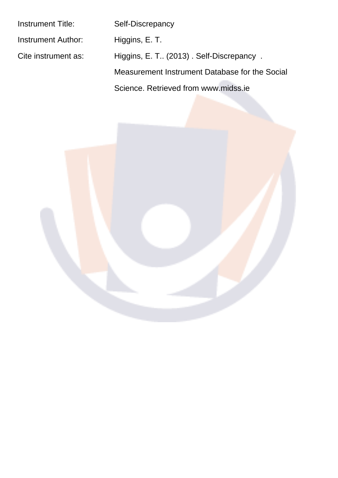| <b>Instrument Title:</b>  | Self-Discrepancy                               |
|---------------------------|------------------------------------------------|
| <b>Instrument Author:</b> | Higgins, E. T.                                 |
| Cite instrument as:       | Higgins, E. T. (2013). Self-Discrepancy.       |
|                           | Measurement Instrument Database for the Social |
|                           | Science, Retrieved from www.midss.ie           |

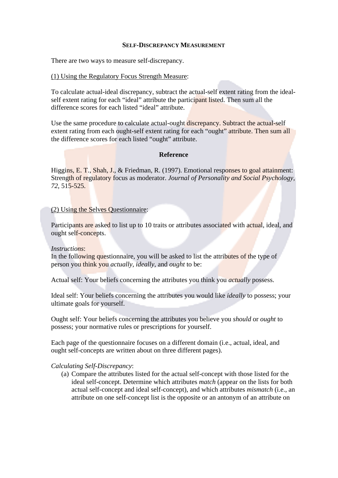#### **SELF-DISCREPANCY MEASUREMENT**

There are two ways to measure self-discrepancy.

## (1) Using the Regulatory Focus Strength Measure:

To calculate actual-ideal discrepancy, subtract the actual-self extent rating from the idealself extent rating for each "ideal" attribute the participant listed. Then sum all the difference scores for each listed "ideal" attribute.

Use the same procedure to calculate actual-ought discrepancy. Subtract the actual-self extent rating from each ought-self extent rating for each "ought" attribute. Then sum all the difference scores for each listed "ought" attribute.

## **Reference**

Higgins, E. T., Shah, J., & Friedman, R. (1997). Emotional responses to goal attainment: Strength of regulatory focus as moderator. Journal of Personality and Social Psychology, 72, 515-525.

## (2) Using the Selves Ouestionnaire:

Participants are asked to list up to 10 traits or attributes associated with actual, ideal, and ought self-concepts.

#### **Instructions:**

In the following questionnaire, you will be asked to list the attributes of the type of person you think you *actually*, *ideally*, and *ought* to be:

Actual self: Your beliefs concerning the attributes you think you *actually* possess.

Ideal self: Your beliefs concerning the attributes you would like *ideally* to possess; your ultimate goals for yourself.

Ought self: Your beliefs concerning the attributes you believe you *should* or *ought* to possess: your normative rules or prescriptions for yourself.

Each page of the questionnaire focuses on a different domain (i.e., actual, ideal, and ought self-concepts are written about on three different pages).

#### **Calculating Self-Discrepancy:**

(a) Compare the attributes listed for the actual self-concept with those listed for the ideal self-concept. Determine which attributes *match* (appear on the lists for both actual self-concept and ideal self-concept), and which attributes *mismatch* (i.e., an attribute on one self-concept list is the opposite or an antonym of an attribute on